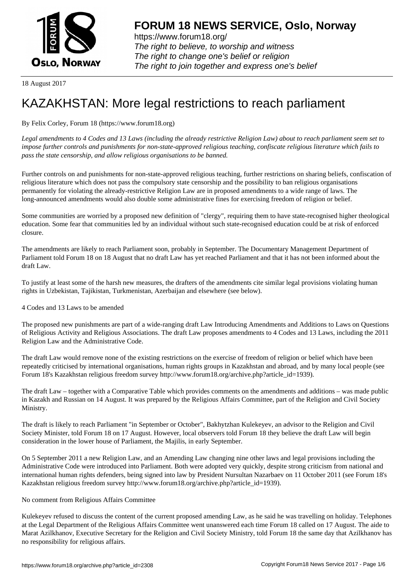

https://www.forum18.org/ The right to believe, to worship and witness The right to change one's belief or religion [The right to join together a](https://www.forum18.org/)nd express one's belief

18 August 2017

# [KAZAKHSTAN:](https://www.forum18.org) More legal restrictions to reach parliament

## By Felix Corley, Forum 18 (https://www.forum18.org)

*Legal amendments to 4 Codes and 13 Laws (including the already restrictive Religion Law) about to reach parliament seem set to impose further controls and punishments for non-state-approved religious teaching, confiscate religious literature which fails to pass the state censorship, and allow religious organisations to be banned.*

Further controls on and punishments for non-state-approved religious teaching, further restrictions on sharing beliefs, confiscation of religious literature which does not pass the compulsory state censorship and the possibility to ban religious organisations permanently for violating the already-restrictive Religion Law are in proposed amendments to a wide range of laws. The long-announced amendments would also double some administrative fines for exercising freedom of religion or belief.

Some communities are worried by a proposed new definition of "clergy", requiring them to have state-recognised higher theological education. Some fear that communities led by an individual without such state-recognised education could be at risk of enforced closure.

The amendments are likely to reach Parliament soon, probably in September. The Documentary Management Department of Parliament told Forum 18 on 18 August that no draft Law has yet reached Parliament and that it has not been informed about the draft Law.

To justify at least some of the harsh new measures, the drafters of the amendments cite similar legal provisions violating human rights in Uzbekistan, Tajikistan, Turkmenistan, Azerbaijan and elsewhere (see below).

4 Codes and 13 Laws to be amended

The proposed new punishments are part of a wide-ranging draft Law Introducing Amendments and Additions to Laws on Questions of Religious Activity and Religious Associations. The draft Law proposes amendments to 4 Codes and 13 Laws, including the 2011 Religion Law and the Administrative Code.

The draft Law would remove none of the existing restrictions on the exercise of freedom of religion or belief which have been repeatedly criticised by international organisations, human rights groups in Kazakhstan and abroad, and by many local people (see Forum 18's Kazakhstan religious freedom survey http://www.forum18.org/archive.php?article\_id=1939).

The draft Law – together with a Comparative Table which provides comments on the amendments and additions – was made public in Kazakh and Russian on 14 August. It was prepared by the Religious Affairs Committee, part of the Religion and Civil Society Ministry.

The draft is likely to reach Parliament "in September or October", Bakhytzhan Kulekeyev, an advisor to the Religion and Civil Society Minister, told Forum 18 on 17 August. However, local observers told Forum 18 they believe the draft Law will begin consideration in the lower house of Parliament, the Majilis, in early September.

On 5 September 2011 a new Religion Law, and an Amending Law changing nine other laws and legal provisions including the Administrative Code were introduced into Parliament. Both were adopted very quickly, despite strong criticism from national and international human rights defenders, being signed into law by President Nursultan Nazarbaev on 11 October 2011 (see Forum 18's Kazakhstan religious freedom survey http://www.forum18.org/archive.php?article\_id=1939).

## No comment from Religious Affairs Committee

Kulekeyev refused to discuss the content of the current proposed amending Law, as he said he was travelling on holiday. Telephones at the Legal Department of the Religious Affairs Committee went unanswered each time Forum 18 called on 17 August. The aide to Marat Azilkhanov, Executive Secretary for the Religion and Civil Society Ministry, told Forum 18 the same day that Azilkhanov has no responsibility for religious affairs.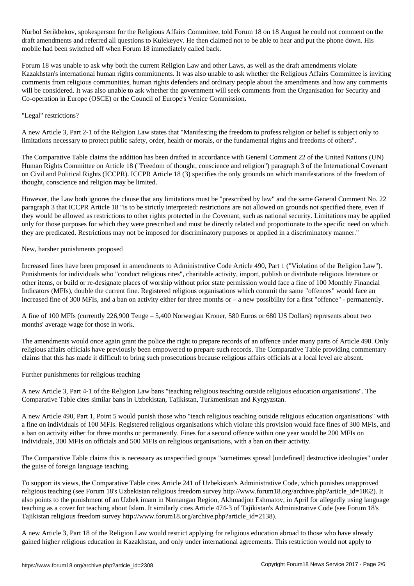Nurbol Serikbekov, spokesperson for the Religious Affairs Committee, told Forum 18 on 18 August he could not comment on the draft amendments and referred all questions to Kulekeyev. He then claimed not to be able to hear and put the phone down. His mobile had been switched off when Forum 18 immediately called back.

Forum 18 was unable to ask why both the current Religion Law and other Laws, as well as the draft amendments violate Kazakhstan's international human rights commitments. It was also unable to ask whether the Religious Affairs Committee is inviting comments from religious communities, human rights defenders and ordinary people about the amendments and how any comments will be considered. It was also unable to ask whether the government will seek comments from the Organisation for Security and Co-operation in Europe (OSCE) or the Council of Europe's Venice Commission.

## "Legal" restrictions?

A new Article 3, Part 2-1 of the Religion Law states that "Manifesting the freedom to profess religion or belief is subject only to limitations necessary to protect public safety, order, health or morals, or the fundamental rights and freedoms of others".

The Comparative Table claims the addition has been drafted in accordance with General Comment 22 of the United Nations (UN) Human Rights Committee on Article 18 ("Freedom of thought, conscience and religion") paragraph 3 of the International Covenant on Civil and Political Rights (ICCPR). ICCPR Article 18 (3) specifies the only grounds on which manifestations of the freedom of thought, conscience and religion may be limited.

However, the Law both ignores the clause that any limitations must be "prescribed by law" and the same General Comment No. 22 paragraph 3 that ICCPR Article 18 "is to be strictly interpreted: restrictions are not allowed on grounds not specified there, even if they would be allowed as restrictions to other rights protected in the Covenant, such as national security. Limitations may be applied only for those purposes for which they were prescribed and must be directly related and proportionate to the specific need on which they are predicated. Restrictions may not be imposed for discriminatory purposes or applied in a discriminatory manner."

#### New, harsher punishments proposed

Increased fines have been proposed in amendments to Administrative Code Article 490, Part 1 ("Violation of the Religion Law"). Punishments for individuals who "conduct religious rites", charitable activity, import, publish or distribute religious literature or other items, or build or re-designate places of worship without prior state permission would face a fine of 100 Monthly Financial Indicators (MFIs), double the current fine. Registered religious organisations which commit the same "offences" would face an increased fine of 300 MFIs, and a ban on activity either for three months or – a new possibility for a first "offence" - permanently.

A fine of 100 MFIs (currently 226,900 Tenge – 5,400 Norwegian Kroner, 580 Euros or 680 US Dollars) represents about two months' average wage for those in work.

The amendments would once again grant the police the right to prepare records of an offence under many parts of Article 490. Only religious affairs officials have previously been empowered to prepare such records. The Comparative Table providing commentary claims that this has made it difficult to bring such prosecutions because religious affairs officials at a local level are absent.

Further punishments for religious teaching

A new Article 3, Part 4-1 of the Religion Law bans "teaching religious teaching outside religious education organisations". The Comparative Table cites similar bans in Uzbekistan, Tajikistan, Turkmenistan and Kyrgyzstan.

A new Article 490, Part 1, Point 5 would punish those who "teach religious teaching outside religious education organisations" with a fine on individuals of 100 MFIs. Registered religious organisations which violate this provision would face fines of 300 MFIs, and a ban on activity either for three months or permanently. Fines for a second offence within one year would be 200 MFIs on individuals, 300 MFIs on officials and 500 MFIs on religious organisations, with a ban on their activity.

The Comparative Table claims this is necessary as unspecified groups "sometimes spread [undefined] destructive ideologies" under the guise of foreign language teaching.

To support its views, the Comparative Table cites Article 241 of Uzbekistan's Administrative Code, which punishes unapproved religious teaching (see Forum 18's Uzbekistan religious freedom survey http://www.forum18.org/archive.php?article\_id=1862). It also points to the punishment of an Uzbek imam in Namangan Region, Akhmadjon Eshmatov, in April for allegedly using language teaching as a cover for teaching about Islam. It similarly cites Article 474-3 of Tajikistan's Administrative Code (see Forum 18's Tajikistan religious freedom survey http://www.forum18.org/archive.php?article\_id=2138).

A new Article 3, Part 18 of the Religion Law would restrict applying for religious education abroad to those who have already gained higher religious education in Kazakhstan, and only under international agreements. This restriction would not apply to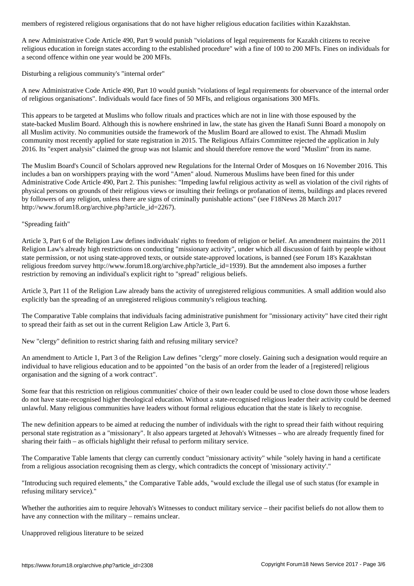A new Administrative Code Article 490, Part 9 would punish "violations of legal requirements for Kazakh citizens to receive religious education in foreign states according to the established procedure" with a fine of 100 to 200 MFIs. Fines on individuals for a second offence within one year would be 200 MFIs.

Disturbing a religious community's "internal order"

A new Administrative Code Article 490, Part 10 would punish "violations of legal requirements for observance of the internal order of religious organisations". Individuals would face fines of 50 MFIs, and religious organisations 300 MFIs.

This appears to be targeted at Muslims who follow rituals and practices which are not in line with those espoused by the state-backed Muslim Board. Although this is nowhere enshrined in law, the state has given the Hanafi Sunni Board a monopoly on all Muslim activity. No communities outside the framework of the Muslim Board are allowed to exist. The Ahmadi Muslim community most recently applied for state registration in 2015. The Religious Affairs Committee rejected the application in July 2016. Its "expert analysis" claimed the group was not Islamic and should therefore remove the word "Muslim" from its name.

The Muslim Board's Council of Scholars approved new Regulations for the Internal Order of Mosques on 16 November 2016. This includes a ban on worshippers praying with the word "Amen" aloud. Numerous Muslims have been fined for this under Administrative Code Article 490, Part 2. This punishes: "Impeding lawful religious activity as well as violation of the civil rights of physical persons on grounds of their religious views or insulting their feelings or profanation of items, buildings and places revered by followers of any religion, unless there are signs of criminally punishable actions" (see F18News 28 March 2017 http://www.forum18.org/archive.php?article\_id=2267).

"Spreading faith"

Article 3, Part 6 of the Religion Law defines individuals' rights to freedom of religion or belief. An amendment maintains the 2011 Religion Law's already high restrictions on conducting "missionary activity", under which all discussion of faith by people without state permission, or not using state-approved texts, or outside state-approved locations, is banned (see Forum 18's Kazakhstan religious freedom survey http://www.forum18.org/archive.php?article\_id=1939). But the amndement also imposes a further restriction by removing an individual's explicit right to "spread" religious beliefs.

Article 3, Part 11 of the Religion Law already bans the activity of unregistered religious communities. A small addition would also explicitly ban the spreading of an unregistered religious community's religious teaching.

The Comparative Table complains that individuals facing administrative punishment for "missionary activity" have cited their right to spread their faith as set out in the current Religion Law Article 3, Part 6.

New "clergy" definition to restrict sharing faith and refusing military service?

An amendment to Article 1, Part 3 of the Religion Law defines "clergy" more closely. Gaining such a designation would require an individual to have religious education and to be appointed "on the basis of an order from the leader of a [registered] religious organisation and the signing of a work contract".

Some fear that this restriction on religious communities' choice of their own leader could be used to close down those whose leaders do not have state-recognised higher theological education. Without a state-recognised religious leader their activity could be deemed unlawful. Many religious communities have leaders without formal religious education that the state is likely to recognise.

The new definition appears to be aimed at reducing the number of individuals with the right to spread their faith without requiring personal state registration as a "missionary". It also appears targeted at Jehovah's Witnesses – who are already frequently fined for sharing their faith – as officials highlight their refusal to perform military service.

The Comparative Table laments that clergy can currently conduct "missionary activity" while "solely having in hand a certificate from a religious association recognising them as clergy, which contradicts the concept of 'missionary activity'."

"Introducing such required elements," the Comparative Table adds, "would exclude the illegal use of such status (for example in refusing military service)."

Whether the authorities aim to require Jehovah's Witnesses to conduct military service – their pacifist beliefs do not allow them to have any connection with the military – remains unclear.

Unapproved religious literature to be seized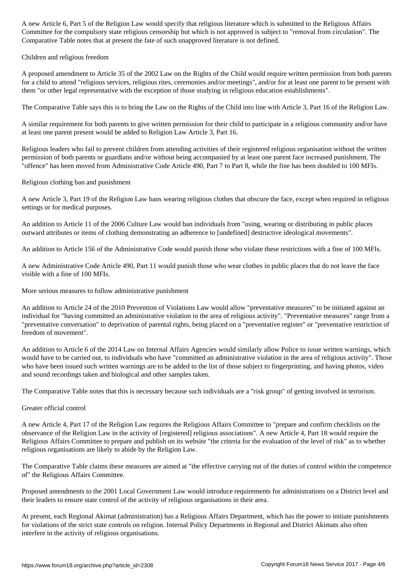Committee for the compulsory state religious censorship but which is not approved is subject to "removal from circulation". The Comparative Table notes that at present the fate of such unapproved literature is not defined.

#### Children and religious freedom

A proposed amendment to Article 35 of the 2002 Law on the Rights of the Child would require written permission from both parents for a child to attend "religious services, religious rites, ceremonies and/or meetings", and/or for at least one parent to be present with them "or other legal representative with the exception of those studying in religious education establishments".

The Comparative Table says this is to bring the Law on the Rights of the Child into line with Article 3, Part 16 of the Religion Law.

A similar requirement for both parents to give written permission for their child to participate in a religious community and/or have at least one parent present would be added to Religion Law Article 3, Part 16.

Religious leaders who fail to prevent children from attending activities of their registered religious organisation without the written permission of both parents or guardians and/or without being accompanied by at least one parent face increased punishment. The "offence" has been moved from Administrative Code Article 490, Part 7 to Part 8, while the fine has been doubled to 100 MFIs.

## Religious clothing ban and punishment

A new Article 3, Part 19 of the Religion Law bans wearing religious clothes that obscure the face, except when required in religious settings or for medical purposes.

An addition to Article 11 of the 2006 Culture Law would ban individuals from "using, wearing or distributing in public places outward attributes or items of clothing demonstrating an adherence to [undefined] destructive ideological movements".

An addition to Article 156 of the Administrative Code would punish those who violate these restrictions with a fine of 100 MFIs.

A new Administrative Code Article 490, Part 11 would punish those who wear clothes in public places that do not leave the face visible with a fine of 100 MFIs.

More serious measures to follow administrative punishment

An addition to Article 24 of the 2010 Prevention of Violations Law would allow "preventative measures" to be initiated against an individual for "having committed an administrative violation in the area of religious activity". "Preventative measures" range from a "preventative conversation" to deprivation of parental rights, being placed on a "preventative register" or "preventative restriction of freedom of movement".

An addition to Article 6 of the 2014 Law on Internal Affairs Agencies would similarly allow Police to issue written warnings, which would have to be carried out, to individuals who have "committed an administrative violation in the area of religious activity". Those who have been issued such written warnings are to be added to the list of those subject to fingerprinting, and having photos, video and sound recordings taken and biological and other samples taken.

The Comparative Table notes that this is necessary because such individuals are a "risk group" of getting involved in terrorism.

## Greater official control

A new Article 4, Part 17 of the Religion Law requires the Religious Affairs Committee to "prepare and confirm checklists on the observance of the Religion Law in the activity of [registered] religious associations". A new Article 4, Part 18 would require the Religious Affairs Committee to prepare and publish on its website "the criteria for the evaluation of the level of risk" as to whether religious organisations are likely to abide by the Religion Law.

The Comparative Table claims these measures are aimed at "the effective carrying out of the duties of control within the competence of" the Religious Affairs Committee.

Proposed amendments to the 2001 Local Government Law would introduce requirements for administrations on a District level and their leaders to ensure state control of the activity of religious organisations in their area.

At present, each Regional Akimat (administration) has a Religious Affairs Department, which has the power to initiate punishments for violations of the strict state controls on religion. Internal Policy Departments in Regional and District Akimats also often interfere in the activity of religious organisations.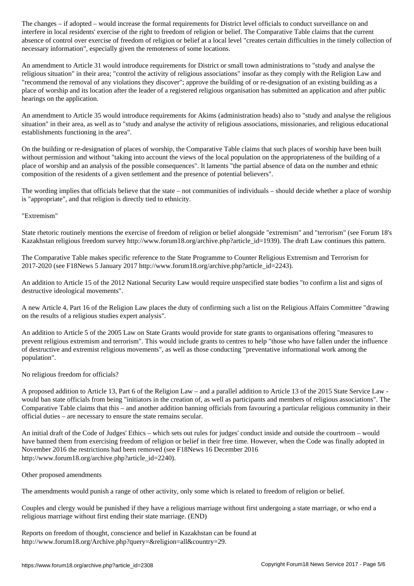interfere in local residents' exercise of the right to freedom of religion or belief. The Comparative Table claims that the current absence of control over exercise of freedom of religion or belief at a local level "creates certain difficulties in the timely collection of necessary information", especially given the remoteness of some locations.

An amendment to Article 31 would introduce requirements for District or small town administrations to "study and analyse the religious situation" in their area; "control the activity of religious associations" insofar as they comply with the Religion Law and "recommend the removal of any violations they discover"; approve the building of or re-designation of an existing building as a place of worship and its location after the leader of a registered religious organisation has submitted an application and after public hearings on the application.

An amendment to Article 35 would introduce requirements for Akims (administration heads) also to "study and analyse the religious situation" in their area, as well as to "study and analyse the activity of religious associations, missionaries, and religious educational establishments functioning in the area".

On the building or re-designation of places of worship, the Comparative Table claims that such places of worship have been built without permission and without "taking into account the views of the local population on the appropriateness of the building of a place of worship and an analysis of the possible consequences". It laments "the partial absence of data on the number and ethnic composition of the residents of a given settlement and the presence of potential believers".

The wording implies that officials believe that the state – not communities of individuals – should decide whether a place of worship is "appropriate", and that religion is directly tied to ethnicity.

## "Extremism"

State rhetoric routinely mentions the exercise of freedom of religion or belief alongside "extremism" and "terrorism" (see Forum 18's Kazakhstan religious freedom survey http://www.forum18.org/archive.php?article\_id=1939). The draft Law continues this pattern.

The Comparative Table makes specific reference to the State Programme to Counter Religious Extremism and Terrorism for 2017-2020 (see F18News 5 January 2017 http://www.forum18.org/archive.php?article\_id=2243).

An addition to Article 15 of the 2012 National Security Law would require unspecified state bodies "to confirm a list and signs of destructive ideological movements".

A new Article 4, Part 16 of the Religion Law places the duty of confirming such a list on the Religious Affairs Committee "drawing on the results of a religious studies expert analysis".

An addition to Article 5 of the 2005 Law on State Grants would provide for state grants to organisations offering "measures to prevent religious extremism and terrorism". This would include grants to centres to help "those who have fallen under the influence of destructive and extremist religious movements", as well as those conducting "preventative informational work among the population".

## No religious freedom for officials?

A proposed addition to Article 13, Part 6 of the Religion Law – and a parallel addition to Article 13 of the 2015 State Service Law would ban state officials from being "initiators in the creation of, as well as participants and members of religious associations". The Comparative Table claims that this – and another addition banning officials from favouring a particular religious community in their official duties – are necessary to ensure the state remains secular.

An initial draft of the Code of Judges' Ethics – which sets out rules for judges' conduct inside and outside the courtroom – would have banned them from exercising freedom of religion or belief in their free time. However, when the Code was finally adopted in November 2016 the restrictions had been removed (see F18News 16 December 2016 http://www.forum18.org/archive.php?article\_id=2240).

#### Other proposed amendments

The amendments would punish a range of other activity, only some which is related to freedom of religion or belief.

Couples and clergy would be punished if they have a religious marriage without first undergoing a state marriage, or who end a religious marriage without first ending their state marriage. (END)

Reports on freedom of thought, conscience and belief in Kazakhstan can be found at http://www.forum18.org/Archive.php?query=&religion=all&country=29.